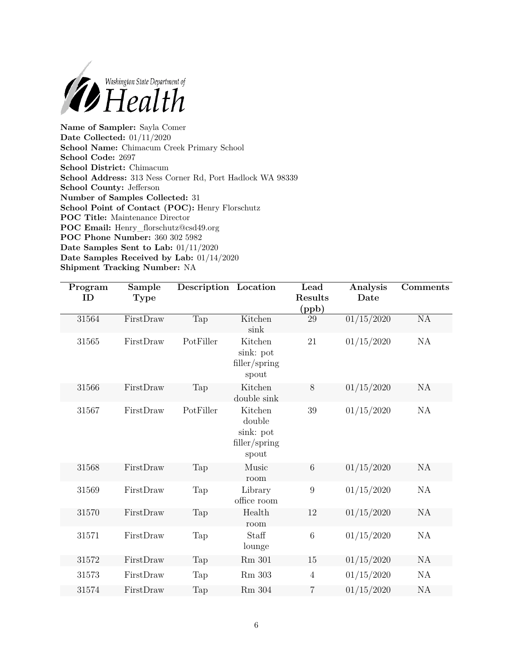

**Name of Sampler:** Sayla Comer **Date Collected:** 01/11/2020 **School Name:** Chimacum Creek Primary School **School Code:** 2697 **School District:** Chimacum **School Address:** 313 Ness Corner Rd, Port Hadlock WA 98339 **School County:** Jefferson **Number of Samples Collected:** 31 **School Point of Contact (POC):** Henry Florschutz **POC Title:** Maintenance Director **POC Email:** [Henry\\_florschutz@csd49.org](mailto:Henry_florschutz@csd49.org) **POC Phone Number:** 360 302 5982 **Date Samples Sent to Lab:** 01/11/2020 **Date Samples Received by Lab:** 01/14/2020 **Shipment Tracking Number:** NA

| Program<br>ID | Sample<br><b>Type</b> | Description Location |                                                          | Lead<br>Results<br>(ppb) | Analysis<br>Date      | Comments  |
|---------------|-----------------------|----------------------|----------------------------------------------------------|--------------------------|-----------------------|-----------|
| 31564         | FirstDraw             | Tap                  | Kitchen<br>sink                                          | $29\,$                   | $\frac{01}{15}{2020}$ | NA        |
| 31565         | FirstDraw             | PotFiller            | Kitchen<br>sink: pot<br>filler/spring<br>spout           | 21                       | 01/15/2020            | NA        |
| 31566         | FirstDraw             | Tap                  | Kitchen<br>double sink                                   | $8\,$                    | 01/15/2020            | <b>NA</b> |
| 31567         | FirstDraw             | PotFiller            | Kitchen<br>double<br>sink: pot<br>filler/spring<br>spout | 39                       | 01/15/2020            | NA        |
| 31568         | FirstDraw             | Tap                  | Music<br>room                                            | $\,6\,$                  | 01/15/2020            | <b>NA</b> |
| 31569         | FirstDraw             | Tap                  | Library<br>office room                                   | $\boldsymbol{9}$         | 01/15/2020            | <b>NA</b> |
| 31570         | FirstDraw             | Tap                  | Health<br>room                                           | 12                       | 01/15/2020            | NA        |
| 31571         | FirstDraw             | Tap                  | Staff<br>lounge                                          | $\,6\,$                  | 01/15/2020            | NA        |
| 31572         | FirstDraw             | Tap                  | Rm 301                                                   | 15                       | 01/15/2020            | NA        |
| 31573         | FirstDraw             | Tap                  | Rm 303                                                   | $\overline{4}$           | 01/15/2020            | NA        |
| 31574         | FirstDraw             | Tap                  | $\rm Rm$ 304                                             | 7                        | 01/15/2020            | NA        |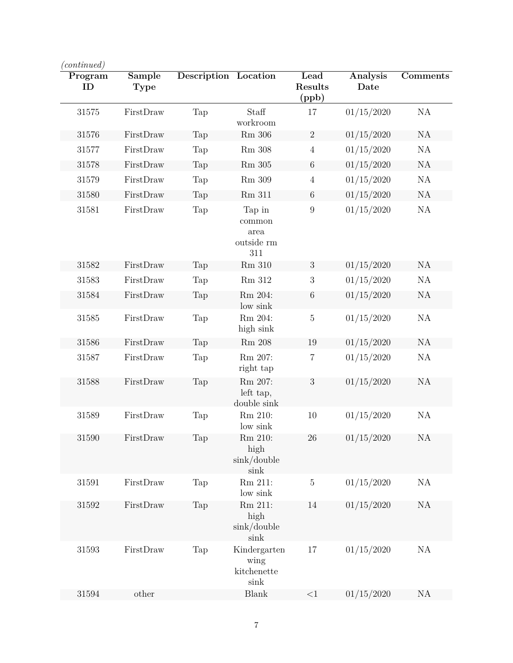| Program<br>ID | Sample<br>Type | <b>Description</b> Location |                                               | Lead<br><b>Results</b><br>(ppb) | <b>Analysis</b><br>Date | <b>Comments</b> |
|---------------|----------------|-----------------------------|-----------------------------------------------|---------------------------------|-------------------------|-----------------|
| 31575         | FirstDraw      | Tap                         | Staff<br>workroom                             | 17                              | 01/15/2020              | NA              |
| 31576         | FirstDraw      | Tap                         | $Rm$ 306                                      | $\overline{2}$                  | 01/15/2020              | NA              |
| 31577         | FirstDraw      | Tap                         | <b>Rm</b> 308                                 | $\overline{4}$                  | 01/15/2020              | <b>NA</b>       |
| 31578         | FirstDraw      | Tap                         | Rm 305                                        | $6\,$                           | 01/15/2020              | NA              |
| 31579         | FirstDraw      | Tap                         | Rm 309                                        | $\overline{4}$                  | 01/15/2020              | <b>NA</b>       |
| 31580         | FirstDraw      | Tap                         | Rm 311                                        | 6                               | 01/15/2020              | NA              |
| 31581         | FirstDraw      | Tap                         | Tap in<br>common<br>area<br>outside rm<br>311 | $\boldsymbol{9}$                | 01/15/2020              | <b>NA</b>       |
| 31582         | FirstDraw      | Tap                         | Rm 310                                        | 3                               | 01/15/2020              | NA              |
| 31583         | FirstDraw      | Tap                         | Rm 312                                        | 3                               | 01/15/2020              | <b>NA</b>       |
| 31584         | FirstDraw      | Tap                         | Rm 204:<br>low sink                           | $\,6$                           | 01/15/2020              | NA              |
| 31585         | FirstDraw      | Tap                         | Rm 204:<br>high sink                          | $\bf 5$                         | 01/15/2020              | <b>NA</b>       |
| 31586         | FirstDraw      | Tap                         | <b>Rm</b> 208                                 | 19                              | 01/15/2020              | <b>NA</b>       |
| 31587         | FirstDraw      | Tap                         | Rm 207:<br>right tap                          | $\,7$                           | 01/15/2020              | NA              |
| 31588         | FirstDraw      | Tap                         | Rm 207:<br>left tap,<br>double sink           | 3                               | 01/15/2020              | NA              |
| 31589         | FirstDraw      | Tap                         | Rm 210:<br>low sink                           | 10                              | 01/15/2020              | NA              |
| 31590         | FirstDraw      | Tap                         | Rm 210:<br>high<br>$\sin k/$ double<br>sink   | 26                              | 01/15/2020              | NA              |
| 31591         | FirstDraw      | Tap                         | Rm 211:<br>low sink                           | $\bf 5$                         | 01/15/2020              | NA              |
| 31592         | FirstDraw      | Tap                         | Rm 211:<br>high<br>$\sin k /$ double<br>sink  | 14                              | 01/15/2020              | NA              |
| 31593         | FirstDraw      | Tap                         | Kindergarten<br>wing<br>kitchenette<br>sink   | 17                              | 01/15/2020              | NA              |
| 31594         | other          |                             | Blank                                         | <1                              | 01/15/2020              | NA              |